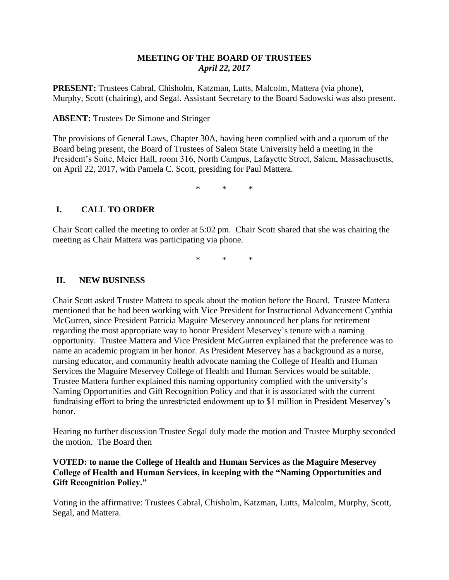# **MEETING OF THE BOARD OF TRUSTEES** *April 22, 2017*

**PRESENT:** Trustees Cabral, Chisholm, Katzman, Lutts, Malcolm, Mattera (via phone), Murphy, Scott (chairing), and Segal. Assistant Secretary to the Board Sadowski was also present.

### **ABSENT:** Trustees De Simone and Stringer

The provisions of General Laws, Chapter 30A, having been complied with and a quorum of the Board being present, the Board of Trustees of Salem State University held a meeting in the President's Suite, Meier Hall, room 316, North Campus, Lafayette Street, Salem, Massachusetts, on April 22, 2017, with Pamela C. Scott, presiding for Paul Mattera.

\* \* \*

# **I. CALL TO ORDER**

Chair Scott called the meeting to order at 5:02 pm. Chair Scott shared that she was chairing the meeting as Chair Mattera was participating via phone.

\* \* \*

### **II. NEW BUSINESS**

Chair Scott asked Trustee Mattera to speak about the motion before the Board. Trustee Mattera mentioned that he had been working with Vice President for Instructional Advancement Cynthia McGurren, since President Patricia Maguire Meservey announced her plans for retirement regarding the most appropriate way to honor President Meservey's tenure with a naming opportunity. Trustee Mattera and Vice President McGurren explained that the preference was to name an academic program in her honor. As President Meservey has a background as a nurse, nursing educator, and community health advocate naming the College of Health and Human Services the Maguire Meservey College of Health and Human Services would be suitable. Trustee Mattera further explained this naming opportunity complied with the university's Naming Opportunities and Gift Recognition Policy and that it is associated with the current fundraising effort to bring the unrestricted endowment up to \$1 million in President Meservey's honor.

Hearing no further discussion Trustee Segal duly made the motion and Trustee Murphy seconded the motion. The Board then

# **VOTED: to name the College of Health and Human Services as the Maguire Meservey College of Health and Human Services, in keeping with the "Naming Opportunities and Gift Recognition Policy."**

Voting in the affirmative: Trustees Cabral, Chisholm, Katzman, Lutts, Malcolm, Murphy, Scott, Segal, and Mattera.